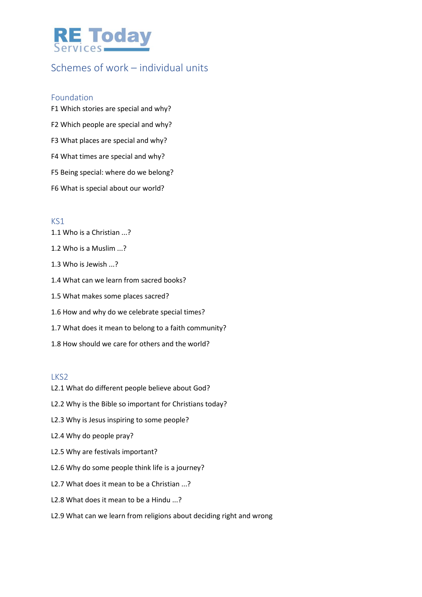

## Schemes of work – individual units

#### Foundation

F1 Which stories are special and why? F2 Which people are special and why? F3 What places are special and why? F4 What times are special and why? F5 Being special: where do we belong? F6 What is special about our world?

# KS1 1.1 Who is a Christian ...? 1.2 Who is a Muslim ...? 1.3 Who is Jewish ...? 1.4 What can we learn from sacred books?

- 1.5 What makes some places sacred?
- 1.6 How and why do we celebrate special times?
- 1.7 What does it mean to belong to a faith community?
- 1.8 How should we care for others and the world?

#### LKS2

- L2.1 What do different people believe about God?
- L2.2 Why is the Bible so important for Christians today?
- L2.3 Why is Jesus inspiring to some people?
- L2.4 Why do people pray?
- L2.5 Why are festivals important?
- L2.6 Why do some people think life is a journey?
- L2.7 What does it mean to be a Christian ...?
- L2.8 What does it mean to be a Hindu ...?
- L2.9 What can we learn from religions about deciding right and wrong